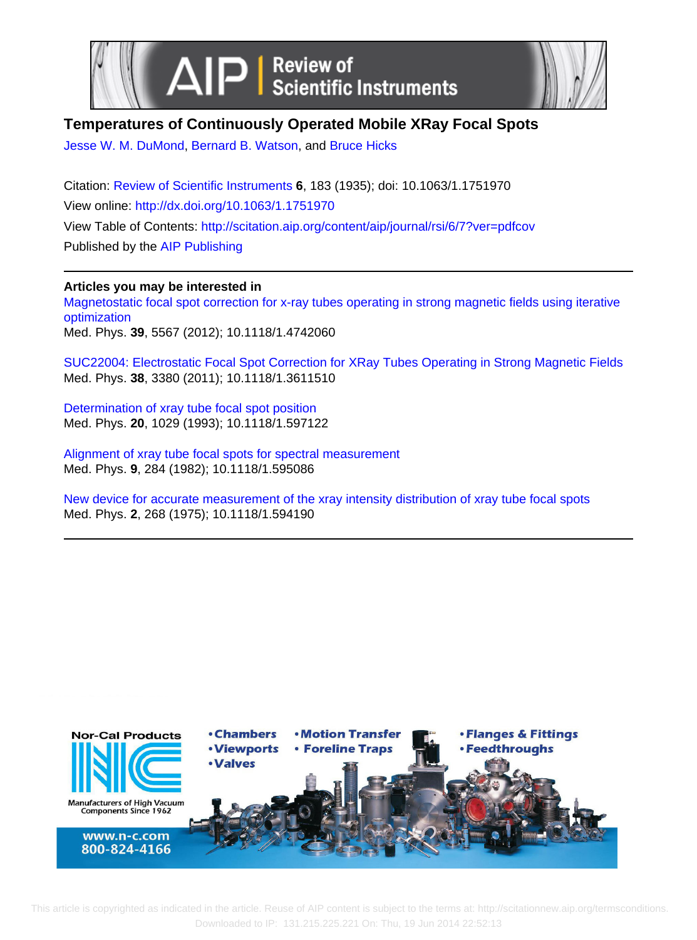



# **Temperatures of Continuously Operated Mobile XRay Focal Spots**

[Jesse W. M. DuMond](http://scitation.aip.org/search?value1=Jesse+W.+M.+DuMond&option1=author), [Bernard B. Watson](http://scitation.aip.org/search?value1=Bernard+B.+Watson&option1=author), and [Bruce Hicks](http://scitation.aip.org/search?value1=Bruce+Hicks&option1=author)

Citation: [Review of Scientific Instruments](http://scitation.aip.org/content/aip/journal/rsi?ver=pdfcov) **6**, 183 (1935); doi: 10.1063/1.1751970 View online:<http://dx.doi.org/10.1063/1.1751970> View Table of Contents:<http://scitation.aip.org/content/aip/journal/rsi/6/7?ver=pdfcov> Published by the [AIP Publishing](http://scitation.aip.org/content/aip?ver=pdfcov)

**Articles you may be interested in**

[Magnetostatic focal spot correction for x-ray tubes operating in strong magnetic fields using iterative](http://scitation.aip.org/content/aapm/journal/medphys/39/9/10.1118/1.4742060?ver=pdfcov) [optimization](http://scitation.aip.org/content/aapm/journal/medphys/39/9/10.1118/1.4742060?ver=pdfcov) Med. Phys. **39**, 5567 (2012); 10.1118/1.4742060

[SUC22004: Electrostatic Focal Spot Correction for XRay Tubes Operating in Strong Magnetic Fields](http://scitation.aip.org/content/aapm/journal/medphys/38/6/10.1118/1.3611510?ver=pdfcov) Med. Phys. **38**, 3380 (2011); 10.1118/1.3611510

[Determination of xray tube focal spot position](http://scitation.aip.org/content/aapm/journal/medphys/20/4/10.1118/1.597122?ver=pdfcov) Med. Phys. **20**, 1029 (1993); 10.1118/1.597122

[Alignment of xray tube focal spots for spectral measurement](http://scitation.aip.org/content/aapm/journal/medphys/9/2/10.1118/1.595086?ver=pdfcov) Med. Phys. **9**, 284 (1982); 10.1118/1.595086

[New device for accurate measurement of the xray intensity distribution of xray tube focal spots](http://scitation.aip.org/content/aapm/journal/medphys/2/5/10.1118/1.594190?ver=pdfcov) Med. Phys. **2**, 268 (1975); 10.1118/1.594190



 T[his article is copyrighted as indicated in the article. Reuse of AIP content is subject to the terms at: http://scitationnew.aip.org/termscon](http://oasc12039.247realmedia.com/RealMedia/ads/click_lx.ads/www.aip.org/pt/adcenter/pdfcover_test/L-37/2067903738/x01/AIP-PT/NorCal_RSIArticleDL_061814/AIP_Banner9NXPowerLite.jpg/3242633550464f4f466830414145534e?x)ditions. Downloaded to IP: 131.215.225.221 On: Thu, 19 Jun 2014 22:52:13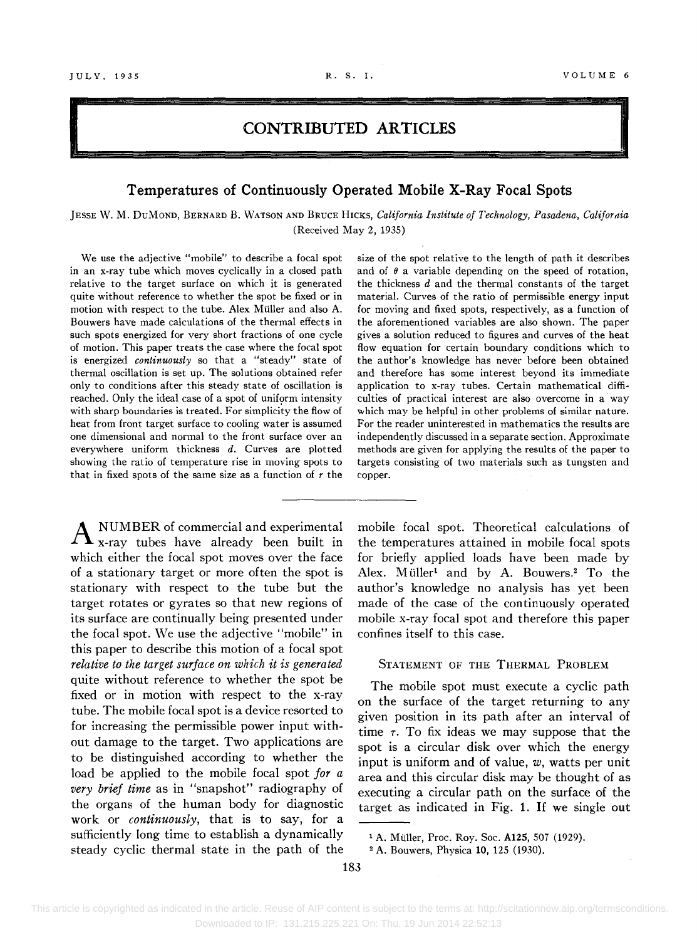# **I CONTRIBUTED ARTICLES**

## **Temperatures of Continuously Operated Mobile X-Ray Focal Spots**

JESSE \V. M. DuMoND, BERNARD B. WATSON AND BRUCE HICKS, *California Institute of Technology, Pasadena, Califorttia*  (Received May 2, 1935)

We use the adjective "mobile" to describe a focal spot in an x-ray tube which moves cyclically in a closed path relative to the target surface on which it is generated quite without reference to whether the spot be fixed or in motion with respect to the tube. Alex Miiller and also A. Bouwers have made calculations of the thermal effects in such spots energized for very short fractions of one cycle of motion. This paper treats the case where the focal spot is energized *continuously* so that a "steady" state of thermal oscillation is set up. The solutions obtained refer only to conditions after this steady state of oscillation is reached. Only the ideal case of a spot of uniform intensity with sharp boundaries is treated. For simplicity the flow of heat from front target surface to cooling water is assumed one dimensional and normal to the front surface over an everywhere uniform thickness d. Curves are plotted showing the ratio of temperature rise in moving spots to that in fixed spots of the same size as a function of  $r$  the

 $A_{x-ray}$  tubes have already been built in which either the focal spot moves over the face of a stationary target or more often the spot is stationary with respect to the tube but the target rotates or gyrates so that new regions of its surface are continually being presented under the focal spot. We use the adjective "mobile" in this paper to describe this motion of a focal spot *relative to the target surface on which it* is *generated*  quite without reference to whether the spot be fixed or in motion with respect to the x-ray tube. The mobile focal spot is a device resorted to for increasing the permissible power input without damage to the target. Two applications are to be distinguished according to whether the load be applied to the mobile focal spot *for a very brief time* as in "snapshot" radiography of the organs of the human body for diagnostic work or *continuously,* that is to say, for a sufficiently long time to establish a dynamically steady cyclic thermal state in the path of the

size of the spot relative to the length of path it describes and of  $\theta$  a variable depending on the speed of rotation, the thickness  $d$  and the thermal constants of the target material. Curves of the ratio of permissible energy input for moving and fixed spots, respectively, as a function of the aforementioned variables are also shown. The paper gives a solution reduced to figures and curves of the heat flow equation for certain boundary conditions which to the author's knowledge has never before been obtained and therefore has some interest beyond its immediate application to x-ray tubes. Certain mathematical difficulties of practical interest are also overcome in a way which may be helpful in other problems of similar nature. For the reader uninterested in mathematics the results are independently discussed in a separate section. Approximate methods are given for applying the results of the paper to targets consisting of two materials such as tungsten and copper.

mobile focal spot. Theoretical calculations of the temperatures attained in mobile focal spots for briefly applied loads have been made by Alex. Müller<sup>1</sup> and by A. Bouwers.<sup>2</sup> To the author's knowledge no analysis has yet been made of the case of the continuously operated mobile x-ray focal spot and therefore this paper confines itself to this case.

#### STATEMENT OF THE THERMAL PROBLEM

The mobile spot must execute a cyclic path on the surface of the target returning to any given position in its path after an interval of time  $\tau$ . To fix ideas we may suppose that the spot is a circular disk over which the energy input is uniform and of value, *w,* watts per unit area and this circular disk may be thought of as executing a circular path on the surface of the target as indicated in Fig. 1. If we single out

<sup>1</sup> A. Miiller, Proc. Roy. Soc. AI2S, 507 (1929).

<sup>2</sup> A. Bouwers, Physica 10, 125 (1930).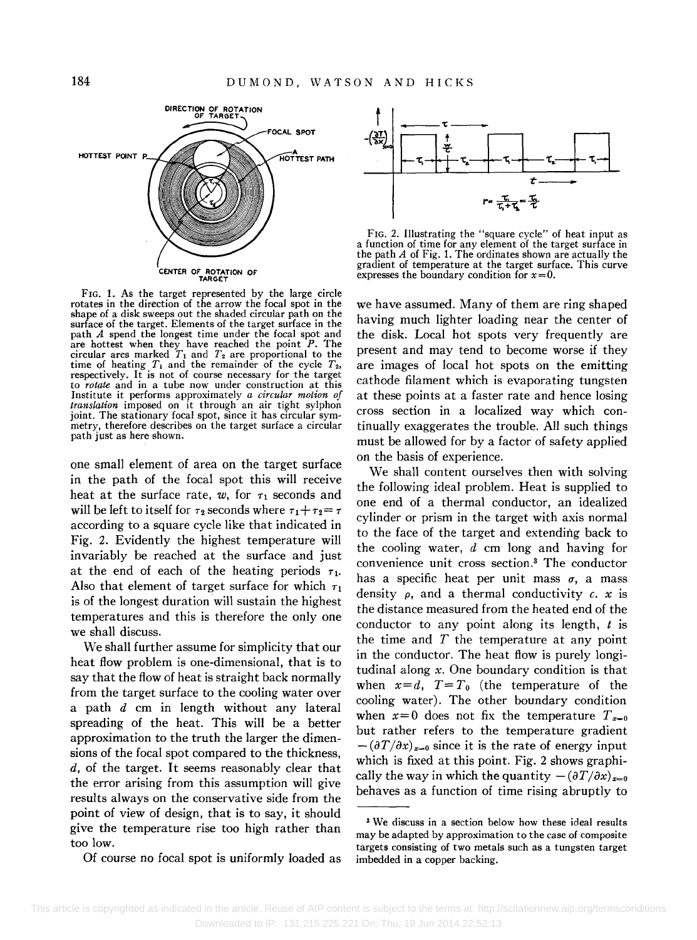

FIG. 1. As the target represented by the large circle rotates in the direction of the arrow the focal spot in the shape of a disk sweeps out the shaded circular path on the surface of the target. Elements of the target surface in the path A spend the longest time under the focal spot and<br>are hottest when they have reached the point P. The<br>circular arcs marked  $T_1$  and  $T_2$  are proportional to the<br>time of heating  $T_1$  and the remainder of the cycle respectively. It is not of course necessary for the target to *rotate* and in a tube now under construction at this Institute it performs approximately *a circular motion of translation* imposed on it through an air tight sylphon joint. The stationary focal spot, since it has circular symmetry, therefore describes on the target surface a circular path just as here shown.

one small element of area on the target surface in the path of the focal spot this will receive heat at the surface rate,  $w$ , for  $\tau_1$  seconds and will be left to itself for  $\tau_2$  seconds where  $\tau_1 + \tau_2 = \tau$ according to a square cycle like that indicated in Fig. 2. Evidently the highest temperature will invariably be reached at the surface and just at the end of each of the heating periods  $\tau_1$ . Also that element of target surface for which  $\tau_1$ is of the longest duration will sustain the highest temperatures and this is therefore the only one we shall discuss.

We shall further assume for simplicity that our heat flow problem is one-dimensional, that is to say that the flow of heat is straight back normally from the target surface to the cooling water over a path  $d$  cm in length without any lateral spreading of the heat. This will be a better approximation to the truth the larger the dimensions of the focal spot compared to the thickness,  $d$ , of the target. It seems reasonably clear that the error arising from this assumption will give results always on the conservative side from the point of view of design, that is to say, it should give the temperature rise too high rather than too low.

Of course no focal spot is uniformly loaded as



FIG. 2. Illustrating the "square cycle" of heat input as a function of time for any element of the target surface in the path  $A$  of Fig. 1. The ordinates shown are actually the gradient of temperature at the target surface. This curve expresses the boundary condition for  $x=0$ .

we have assumed. Many of them are ring shaped having much lighter loading near the center of the disk. Local hot spots very frequently are present and may tend to become worse if they are images of local hot spots on the emitting cathode filament which is evaporating tungsten at these points at a faster rate and hence losing cross section in a localized way which continually exaggerates the trouble. All such things must be allowed for by a factor of safety applied on the basis of experience.

We shall content ourselves then with solving the following ideal problem. Heat is supplied to one end of a thermal conductor, an idealized cylinder or prism in the target with axis normal to the face of the target and extending back to the cooling water,  $d$  cm long and having for convenience unit cross section.3 The conductor has a specific heat per unit mass  $\sigma$ , a mass density  $\rho$ , and a thermal conductivity  $c$ .  $x$  is the distance measured from the heated end of the conductor to any point along its length, *t* is the time and  $T$  the temperature at any point in the conductor. The heat flow is purely longitudinal along *x.* One boundary condition is that when  $x=d$ ,  $T=T_0$  (the temperature of the cooling water). The other boundary condition when  $x=0$  does not fix the temperature  $T_{x=0}$ but rather refers to the temperature gradient  $-(\partial T/\partial x)_{x=0}$  since it is the rate of energy input which is fixed at this point. Fig. 2 shows graphically the way in which the quantity  $-(\partial T/\partial x)_{x=0}$ behaves as a function of time rising abruptly to

<sup>3</sup> We discuss in a section below how these ideal results may be adapted by approximation to the case of composite targets consisting of two metals such as a tungsten target imbedded in a copper backing.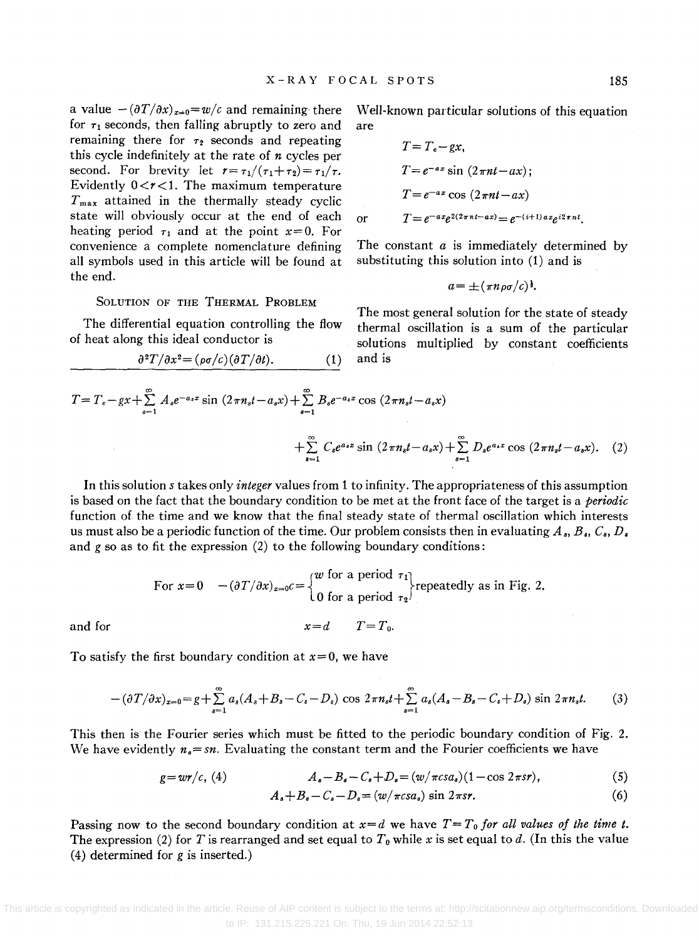a value  $-(\partial T/\partial x)_{x=0} = w/c$  and remaining there for  $\tau_1$  seconds, then falling abruptly to zero and remaining there for  $\tau_2$  seconds and repeating this cycle indefinitely at the rate of *n* cycles per second. For brevity let  $r = \tau_1/(\tau_1 + \tau_2) = \tau_1/\tau$ . Evidently *O<r<1.* The maximum temperature  $T_{\text{max}}$  attained in the thermally steady cyclic state will obviously occur at the end of each heating period  $\tau_1$  and at the point  $x=0$ . For convenience a complete nomenclature defining all symbols used in this article will be found at the end.

SOLUTION OF THE THERMAL PROBLEM

The differential equation controlling the flow of heat along this ideal conductor is

$$
\frac{\partial^2 T}{\partial x^2} = (\rho \sigma/c)(\frac{\partial T}{\partial t}).
$$
 (1) and is

Well-known particular solutions of this equation are

$$
T = T_e - gx,
$$
  
\n
$$
T = e^{-ax} \sin (2\pi nt - ax);
$$
  
\n
$$
T = e^{-ax} \cos (2\pi nt - ax)
$$
  
\nor 
$$
T = e^{-ax}e^{2(2\pi nt - ax)} = e^{-(i+1)ax}e^{i2\pi nt}.
$$

The constant *a* is immediately determined by substituting this solution into (1) and is

$$
a=\pm(\pi n\rho\sigma/c)^{\frac{1}{2}}.
$$

The most general solution for the state of steady thermal oscillation is a sum of the particular solutions multiplied by constant coefficients

$$
T = T_e - gx + \sum_{s=1}^{\infty} A_s e^{-a_s x} \sin (2\pi n_s t - a_s x) + \sum_{s=1}^{\infty} B_s e^{-a_s x} \cos (2\pi n_s t - a_s x) + \sum_{s=1}^{\infty} C_s e^{a_s x} \sin (2\pi n_s t - a_s x) + \sum_{s=1}^{\infty} D_s e^{a_s x} \cos (2\pi n_s t - a_s x).
$$
 (2)

**In** this solution *s* takes only *integer* values from 1 to infinity. The appropriateness of this assumption is based on the fact that the boundary condition to be met at the front face of the target is a *periodic*  function of the time and we know that the final steady state of thermal oscillation which interests us must also be a periodic function of the time. Our problem consists then in evaluating  $A_s$ ,  $B_s$ ,  $C_s$ ,  $D_s$ and  $g$  so as to fit the expression  $(2)$  to the following boundary conditions:

For 
$$
x=0
$$
  $-(\partial T/\partial x)_{x=0}c=\begin{cases}w \text{ for a period } \tau_1 \\ 0 \text{ for a period } \tau_2\end{cases}$  repeatedly as in Fig. 2.  
and for  $x=d$   $T=T_0$ .

To satisfy the first boundary condition at  $x=0$ , we have

$$
-(\partial T/\partial x)_{x=0} = g + \sum_{s=1}^{\infty} a_s (A_s + B_s - C_s - D_s) \cos 2\pi n_s t + \sum_{s=1}^{\infty} a_s (A_s - B_s - C_s + D_s) \sin 2\pi n_s t. \tag{3}
$$

This then is the Fourier series which must be fitted to the periodic boundary condition of Fig. 2. We have evidently  $n_{\rm s} = s n$ . Evaluating the constant term and the Fourier coefficients we have

$$
g = wr/c, (4) \qquad A_s - B_s - C_s + D_s = (w/\pi cs a_s)(1 - \cos 2\pi sr), \qquad (5)
$$

$$
A_s + B_s - C_s - D_s = (w/\pi cs a_s) \sin 2\pi sr.
$$
 (6)

Passing now to the second boundary condition at  $x = d$  we have  $T = T_0$  for all values of the time t. The expression (2) for *T* is rearranged and set equal to  $T_0$  while *x* is set equal to *d*. (In this the value (4) determined for g is inserted.)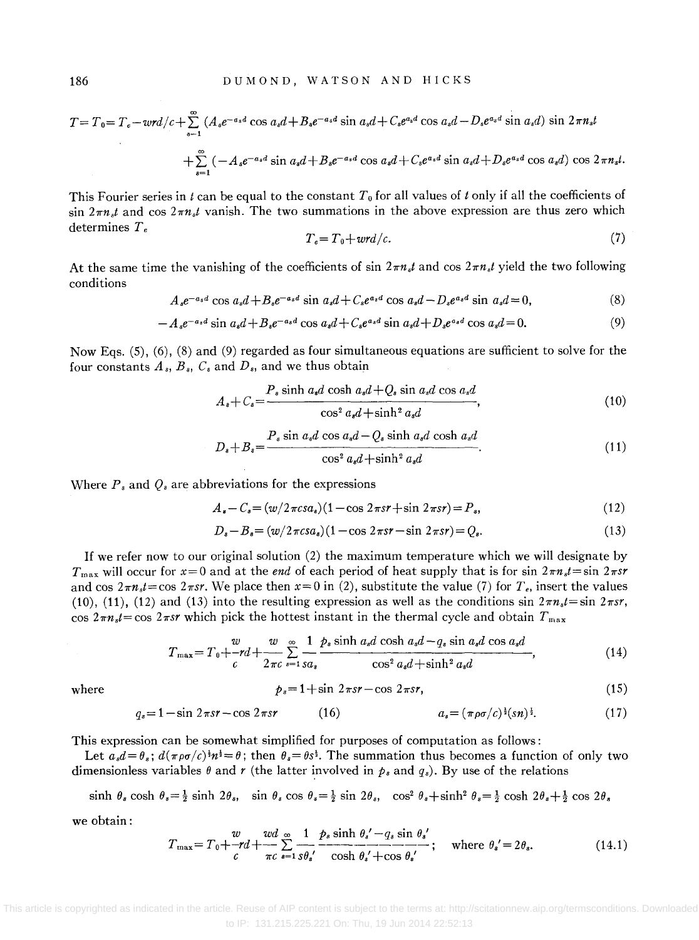$$
T = T_0 = T_e - wrd/c + \sum_{s=1}^{\infty} (A_s e^{-a_s d} \cos a_s d + B_s e^{-a_s d} \sin a_s d + C_s e^{a_s d} \cos a_s d - D_s e^{a_s d} \sin a_s d) \sin 2\pi n_s t
$$
  
+ 
$$
\sum_{s=1}^{\infty} (-A_s e^{-a_s d} \sin a_s d + B_s e^{-a_s d} \cos a_s d + C_s e^{a_s d} \sin a_s d + D_s e^{a_s d} \cos a_s d) \cos 2\pi n_s t.
$$

This Fourier series in *t* can be equal to the constant *To* for all values of *t* only if all the coefficients of  $\sin 2\pi n_s t$  and  $\cos 2\pi n_s t$  vanish. The two summations in the above expression are thus zero which determines *T e* 

$$
T_e = T_0 + wrd/c. \tag{7}
$$

At the same time the vanishing of the coefficients of  $\sin 2\pi n_s t$  and  $\cos 2\pi n_s t$  yield the two following conditions

$$
A_s e^{-a_s d} \cos a_s d + B_s e^{-a_s d} \sin a_s d + C_s e^{a_s d} \cos a_s d - D_s e^{a_s d} \sin a_s d = 0,
$$
\n(8)

$$
-A_{s}e^{-a_{s}d}\sin a_{s}d+B_{s}e^{-a_{s}d}\cos a_{s}d+C_{s}e^{a_{s}d}\sin a_{s}d+D_{s}e^{a_{s}d}\cos a_{s}d=0.
$$
\n(9)

Now Eqs. (5), (6), (8) and (9) regarded as four simultaneous equations are sufficient to solve for the four constants  $A_s$ ,  $B_s$ ,  $C_s$  and  $D_s$ , and we thus obtain

$$
A_s + C_s = \frac{P_s \sinh a_s d \cosh a_s d + Q_s \sin a_s d \cos a_s d}{\cos^2 a_s d + \sinh^2 a_s d},\tag{10}
$$

$$
D_s + B_s = \frac{P_s \sin a_s d \cos a_s d - Q_s \sinh a_s d \cosh a_s d}{\cos^2 a_s d + \sinh^2 a_s d}.
$$
 (11)

Where  $P_s$  and  $Q_s$  are abbreviations for the expressions

$$
A_{s} - C_{s} = (w/2\pi csa_{s})(1 - \cos 2\pi sr + \sin 2\pi sr) = P_{s},
$$
\n(12)

$$
D_s - B_s = (w/2\pi csa_s)(1 - \cos 2\pi sr - \sin 2\pi sr) = Q_s.
$$
 (13)

If we refer now to our original solution (2) the maximum temperature which we will designate by  $T_{\text{max}}$  will occur for  $x=0$  and at the *end* of each period of heat supply that is for sin  $2\pi n_s t = \sin 2\pi s r$ and cos  $2\pi n_s t = \cos 2\pi s r$ . We place then  $x=0$  in (2), substitute the value (7) for  $T_e$ , insert the values (10), (11), (12) and (13) into the resulting expression as well as the conditions sin  $2\pi n_s t = \sin 2\pi s r$ , cos  $2\pi n_s t = \cos 2\pi s r$  which pick the hottest instant in the thermal cycle and obtain  $T_{\text{max}}$ 

$$
T_{\max} = T_0 + \frac{w}{c} + \frac{w}{2\pi c} \sum_{s=1}^{\infty} \frac{1}{s a_s} \frac{p_s \sinh a_s d \cosh a_s d - q_s \sin a_s d \cos a_s d}{\cos^2 a_s d + \sinh^2 a_s d},\tag{14}
$$

where 
$$
p_s = 1 + \sin 2\pi s r - \cos 2\pi s r, \qquad (15)
$$

$$
q_s = 1 - \sin 2\pi s r - \cos 2\pi s r \qquad (16) \qquad a_s = (\pi \rho \sigma/c)^{\frac{1}{2}} (s n)^{\frac{1}{2}}.
$$
 (17)

This expression can be somewhat simplified for purposes of computation as follows:

Let  $a_s d = \theta_s$ ;  $d(\pi \rho \sigma/c)^{\frac{1}{2}}m^{\frac{1}{2}} = \theta$ ; then  $\theta_s = \theta s^{\frac{1}{2}}$ . The summation thus becomes a function of only two dimensionless variables  $\theta$  and  $r$  (the latter involved in  $p_s$  and  $q_s$ ). By use of the relations

$$
\sinh \theta_s \cosh \theta_s = \frac{1}{2} \sinh 2\theta_s, \quad \sin \theta_s \cos \theta_s = \frac{1}{2} \sin 2\theta_s, \quad \cos^2 \theta_s + \sinh^2 \theta_s = \frac{1}{2} \cosh 2\theta_s + \frac{1}{2} \cos 2\theta_s
$$

we obtain:

$$
T_{\max} = T_0 + \frac{w}{c} \frac{wd}{\pi c} \sum_{s=1}^{\infty} \frac{1}{s \theta_s} \frac{p_s \sinh \theta_s' - q_s \sin \theta_s'}{\cosh \theta_s' + \cos \theta_s'}; \quad \text{where } \theta_s' = 2\theta_s. \tag{14.1}
$$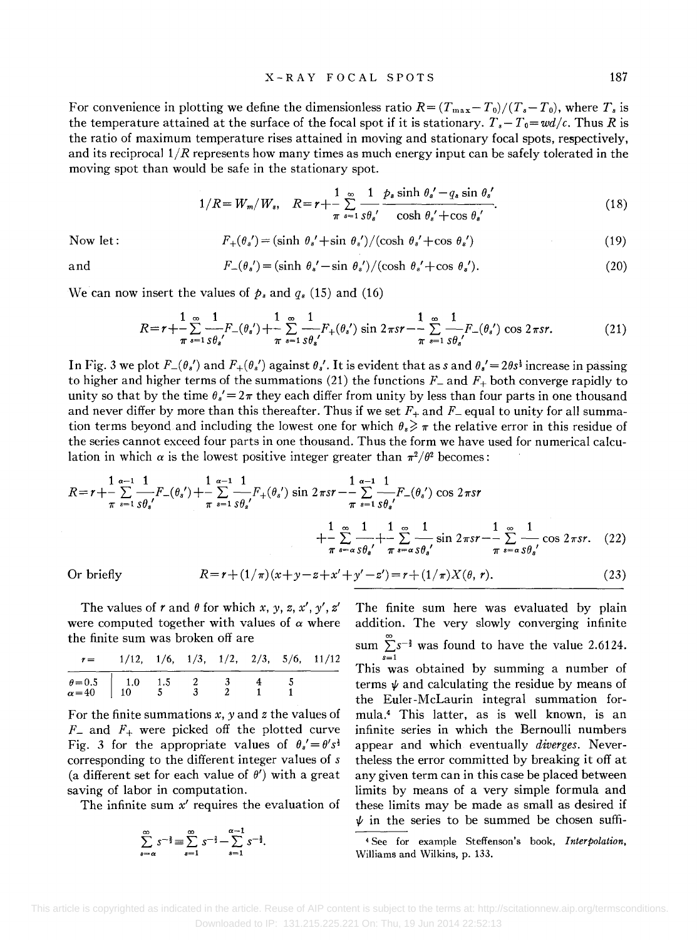$$
X - RAY \quad FOCAL \quad SPOTS
$$

For convenience in plotting we define the dimensionless ratio  $R = (T_{\text{max}} - T_0)/(T_s - T_0)$ , where  $T_s$  is the temperature attained at the surface of the focal spot if it is stationary.  $T_s - T_0 = w d/c$ . Thus *R* is the ratio of maximum temperature rises attained in moving and stationary focal spots, respectively, and its reciprocal  $1/R$  represents how many times as much energy input can be safely tolerated in the moving spot than would be safe in the stationary spot.

$$
1/R = W_m/W_s, \quad R = r + \frac{1}{\pi} \sum_{s=1}^{\infty} \frac{1}{s \theta_s} \frac{\rho_s \sinh \theta_s' - q_s \sin \theta_s'}{\cosh \theta_s' + \cos \theta_s'}.
$$
 (18)

Now let:  $F_{+}(\theta_s') = (\sinh \theta_s' + \sin \theta_s') / (\cosh \theta_s' + \cos \theta_s')$ (19)

and  $F_{-}(\theta_{s}) = (\sinh \theta_{s}^{\prime} - \sin \theta_{s}^{\prime})/(\cosh \theta_{s}^{\prime} + \cos \theta_{s}^{\prime}).$  (20)

We can now insert the values of  $p_s$  and  $q_s$  (15) and (16)

$$
R = r + \sum_{\pi}^{\infty} \frac{1}{s-1} F_{-}(\theta_{s}) + \sum_{\pi}^{\infty} \frac{1}{s-1} F_{+}(\theta_{s}) \sin 2\pi s r - \sum_{\pi}^{\infty} \sum_{s=1}^{\infty} \frac{1}{s \theta_{s}} F_{-}(\theta_{s}) \cos 2\pi s r.
$$
 (21)

In Fig. 3 we plot  $F_-(\theta_*)$  and  $F_+(\theta_*)$  against  $\theta_3'$ . It is evident that as s and  $\theta_3' = 2\theta_3^3$  increase in passing to higher and higher terms of the summations (21) the functions  $F_{-}$  and  $F_{+}$  both converge rapidly to unity so that by the time  $\theta_s' = 2\pi$  they each differ from unity by less than four parts in one thousand and never differ by more than this thereafter. Thus if we set  $F_+$  and  $F_-$  equal to unity for all summation terms beyond and including the lowest one for which  $\theta_s \geq \pi$  the relative error in this residue of the series cannot exceed four parts in one thousand. Thus the form we have used for numerical calculation in which  $\alpha$  is the lowest positive integer greater than  $\pi^2/\theta^2$  becomes:<br>  $1 \alpha^{-1}$ <br>  $1 \alpha^{-1}$ <br>  $1 \alpha^{-1}$ <br>  $1 \alpha^{-1$ lation in which  $\alpha$  is the lowest positive integer greater than  $\pi^2/\theta^2$  becomes:

$$
R = r + \frac{1}{\pi} \sum_{s=1}^{\alpha-1} \frac{1}{s \theta_s'} F_{-}(\theta_s') + \frac{1}{\pi} \sum_{s=1}^{\alpha-1} \frac{1}{s \theta_s'} F_{+}(\theta_s') \sin 2\pi s r - \frac{1}{\pi} \sum_{s=1}^{\alpha-1} \frac{1}{s \theta_s'} F_{-}(\theta_s') \cos 2\pi s r + \frac{1}{\pi} \sum_{s=\alpha}^{\infty} \frac{1}{s \theta_s'} + \frac{1}{\pi} \sum_{s=\alpha}^{\infty} \frac{1}{s \theta_s'} \sin 2\pi s r - \frac{1}{\pi} \sum_{s=\alpha}^{\infty} \frac{1}{s \theta_s'} \cos 2\pi s r. \quad (22)
$$

Or briefly 
$$
R=r+(1/\pi)(x+y-z+x'+y'-z')=r+(1/\pi)X(\theta, r).
$$
 (23)

The values of r and  $\theta$  for which x, y, z, x', y', z' were computed together with values of  $\alpha$  where the finite sum was broken off are

| r =            | $1/12$ , $1/6$ , $1/3$ , $1/2$ , $2/3$ , $5/6$ , $11/12$ |     |   |   |   |   |
|----------------|----------------------------------------------------------|-----|---|---|---|---|
| $\theta = 0.5$ | 1.0                                                      | 1.5 | 2 | 3 | 4 | 5 |
| $\alpha = 40$  | 10                                                       | 5   | 3 | 2 | 1 | 1 |

For the finite summations *x,* y and *z* the values of  $F_-$  and  $F_+$  were picked off the plotted curve Fig. 3 for the appropriate values of  $\theta_s' = \theta's^{\frac{1}{2}}$ corresponding to the different integer values of s (a different set for each value of *0')* with a great saving of labor in computation.

The infinite sum *x'* requires the evaluation of

$$
\sum_{s=\alpha}^{\infty} s^{-\frac{3}{2}} = \sum_{s=1}^{\infty} s^{-\frac{3}{2}} - \sum_{s=1}^{\alpha-1} s^{-\frac{3}{2}}.
$$

The finite sum here was evaluated by plain addition. The very slowly converging infinite sum  $\sum_{s=1}^{\infty} s^{-\frac{3}{2}}$  was found to have the value 2.6124. This was obtained by summing a number of terms  $\psi$  and calculating the residue by means of the Euler-McLaurin integral summation formula.4 This latter, as is well known, is an infinite series in which the Bernoulli numbers appear and which eventually *diverges.* Nevertheless the error committed by breaking it off at any given term can in this case be placed between limits by means of a very simple formula and these limits may be made as small as desired if  $\psi$  in the series to be summed be chosen suffi-

• See for example Steffenson's book, *Interpolation,*  Williams and Wilkins, p. 133.

 This article is copyrighted as indicated in the article. Reuse of AIP content is subject to the terms at: http://scitationnew.aip.org/termsconditions. Downloaded to IP: 131.215.225.221 On: Thu, 19 Jun 2014 22:52:13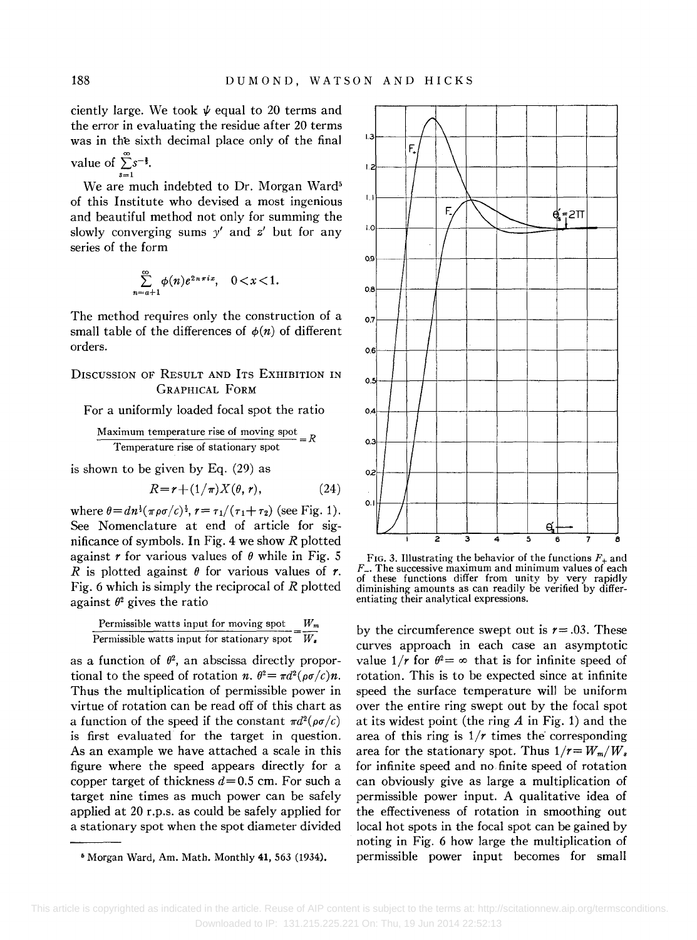ciently large. We took  $\psi$  equal to 20 terms and the error in evaluating the residue after 20 terms was in the sixth decimal place only of the final

value of  $\sum_{s=1}^{\infty} s^{-\frac{3}{2}}$ .

We are much indebted to Dr. Morgan Ward<sup>5</sup> of this Institute who devised a most ingenious and beautiful method not only for summing the slowly converging sums *y'* and *z'* but for any series of the form

$$
\sum_{n=a+1}^{\infty} \phi(n) e^{2n\pi ix}, \quad 0 < x < 1.
$$

The method requires only the construction of a small table of the differences of  $\phi(n)$  of different orders.

## DISCUSSION OF RESULT AND ITS EXHIBITION IN GRAPHICAL FORM

For a uniformly loaded focal spot the ratio

Maximum temperature rise of moving spot  
Temperature rise of stationary spot = 
$$
R
$$

is shown to be given by Eq. (29) as

$$
R = r + (1/\pi)X(\theta, r), \qquad (24)
$$

where  $\theta = dn^{\frac{1}{2}}(\pi \rho \sigma/c)^{\frac{1}{2}}$ ,  $r = \frac{\tau_1}{(\tau_1 + \tau_2)}$  (see Fig. 1). See Nomenclature at end of article for significance of symbols. **In** Fig. 4 we show *R* plotted against  $r$  for various values of  $\theta$  while in Fig. 5 *R* is plotted against  $\theta$  for various values of  $r$ . Fig. 6 which is simply the reciprocal of *R* plotted against  $\theta^2$  gives the ratio

Permissible watts input for moving spot  
Permissible watts input for stationary spot = 
$$
\frac{W_m}{W_s}
$$

as a function of  $\theta^2$ , an abscissa directly proportional to the speed of rotation *n*.  $\theta^2 = \pi d^2(\rho \sigma / c) n$ . Thus the multiplication of permissible power in virtue of rotation can be read off of this chart as a function of the speed if the constant  $\pi d^2(\rho \sigma/c)$ is first evaluated for the target in question. As an example we have attached a scale in this figure where the speed appears directly for a copper target of thickness *d=0.5* cm. For such a target nine times as much power can be safely applied at 20 r.p.s. as could be safely applied for a stationary spot when the spot diameter divided



FIG. 3. Illustrating the behavior of the functions  $F_+$  and *F* \_. The successive maximum and minimum values of each of these functions differ from unity by very rapidly diminishing amounts as can readily be verified by differentiating their analytical expressions.

by the circumference swept out is  $r = .03$ . These curves approach in each case an asymptotic value  $1/r$  for  $\theta^2 = \infty$  that is for infinite speed of rotation. This is to be expected since at infinite speed the surface temperature will be uniform over the entire ring swept out by the focal spot at its widest point (the ring  $A$  in Fig. 1) and the area of this ring is  $1/r$  times the corresponding area for the stationary spot. Thus  $1/r = W_m/W_s$ for infinite speed and no finite speed of rotation can obviously give as large a multiplication of permissible power input. A qualitative idea of the effectiveness of rotation in smoothing out local hot spots in the focal spot can be gained by noting in Fig. 6 how large the multiplication of permissible power input becomes for small

<sup>6</sup> Morgan Ward, Am. Math. Monthly 41, 563 (1934).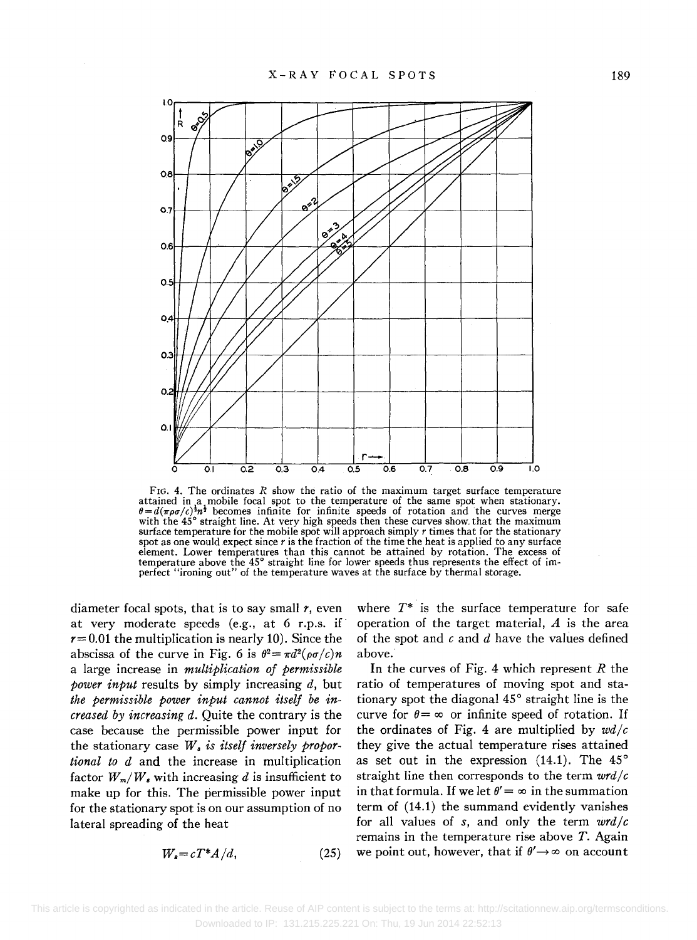

FIG. 4. The ordinates *R* show the ratio of the maximum target surface temperature attained in a mobile focal spot to the temperature of the same spot when stationary.<br> $\theta = d(\pi \rho \sigma/c)^{\frac{1}{2}} n^{\frac{1}{2}}$  becomes infinite for infinite speeds of rotation and the curves merge with the  $45^{\circ}$  straight line. At very high speeds then these curves show that the maximum surface temperature for the mobile spot will approach simply *r* times that for the stationary spot as one would expect since *r* is the fraction of the time the heat is applied to any surface element. Lower temperatures than this cannot be attained by rotation. The excess of temperature above the 45° straight line for lower speeds thus represents the effect of imperfect "ironing out" of the temperature waves at the surface by thermal storage.

diameter focal spots, that is to say small  $r$ , even at very moderate speeds (e.g., at 6 r.p.s. if·  $r= 0.01$  the multiplication is nearly 10). Since the abscissa of the curve in Fig. 6 is  $\theta^2 = \pi d^2(\rho \sigma/c)n$ a large increase in *multiplication of permissible power input* results by simply increasing *d,* but *the permissible power input cannot itself be increased by increasing d.* Quite the contrary is the case because the permissible power input for the stationary case *W.* is *itself inversely proportional to d* and the increase in multiplication factor  $W_m/W_s$  with increasing d is insufficient to make up for this. The permissible power input for the stationary spot is on our assumption of no lateral spreading of the heat

$$
W_s = cT^*A/d, \qquad (25)
$$

where  $T^*$  is the surface temperature for safe operation of the target material, *A* is the area of the spot and *c* and *d* have the values defined above.

**In** the curves of Fig. 4 which represent *R* the ratio of temperatures of moving spot and stationary spot the diagonal 45° straight line is the curve for  $\theta = \infty$  or infinite speed of rotation. If the ordinates of Fig. 4 are multiplied by *wd/c*  they give the actual temperature rises attained as set out in the expression (14.1). The 45° straight line then corresponds to the term *wrd/c*  in that formula. If we let  $\theta' = \infty$  in the summation term of (14.1) the summand evidently vanishes for all values of s, and only the term *wrd/c*  remains in the temperature rise above T. Again we point out, however, that if  $\theta' \rightarrow \infty$  on account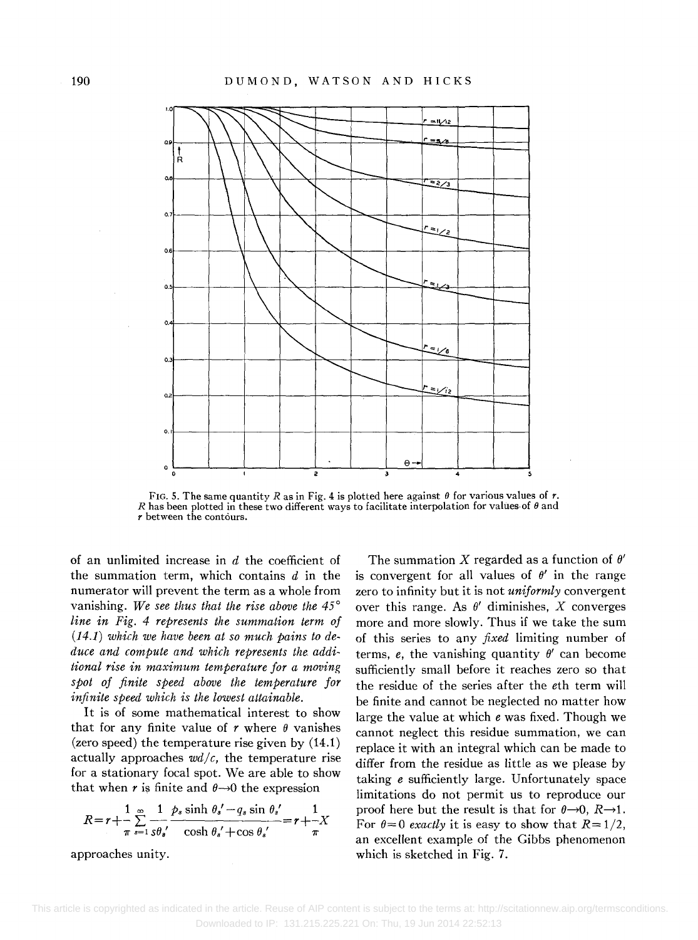

FIG. 5. The same quantity R as in Fig. 4 is plotted here against  $\theta$  for various values of r.<br>R has been plotted in these two different ways to facilitate interpolation for values of  $\theta$  and r between the contours.

of an unlimited increase in *d* the coefficient of the summation term, which contains *d* in the numerator will prevent the term as a whole from vanishing. *We see thus that the rise above the 450. line in Fig.* 4 *represents the summation term of (14.1) which we have been at so much pains to deduce and compute and which represents the additional rise in maximum temperature for a moving spot of finite speed above the temperature for infinite speed which* is *the lowest attainable.* 

It is of some mathematical interest to show that for any finite value of  $r$  where  $\theta$  vanishes (zero speed) the temperature rise given by (14.1) actually approaches  $wd/c$ , the temperature rise for a stationary focal spot. We are able to show that when r is finite and  $\theta \rightarrow 0$  the expression

$$
R = r + \frac{1}{\pi} \sum_{s=1}^{\infty} \frac{1}{s \theta_s} \frac{p_s \sinh \theta_s' - q_s \sin \theta_s'}{\cosh \theta_s' + \cos \theta_s'} = r + \frac{1}{\pi} X
$$

approaches unity.

The summation *X* regarded as a function of  $\theta'$ is convergent for all values of  $\theta'$  in the range zero to infinity but it is not *uniformly* convergent over this range. As  $\theta'$  diminishes, X converges more and more slowly. Thus if we take the sum of this series to any *fixed* limiting number of terms, *e*, the vanishing quantity  $\theta'$  can become sufficiently small before it reaches zero so that the residue of the series after the eth term will be finite and cannot be neglected no matter how large the value at which *e* was fixed. Though we cannot neglect this residue summation, we can replace it with an integral which can be made to differ from the residue as little as we please by taking *e* sufficiently large. Unfortunately space limitations do not permit us to reproduce our proof here but the result is that for  $\theta \rightarrow 0$ ,  $R \rightarrow 1$ . For  $\theta = 0$  *exactly* it is easy to show that  $R = 1/2$ , an excellent example of the Gibbs phenomenon which is sketched in Fig. 7.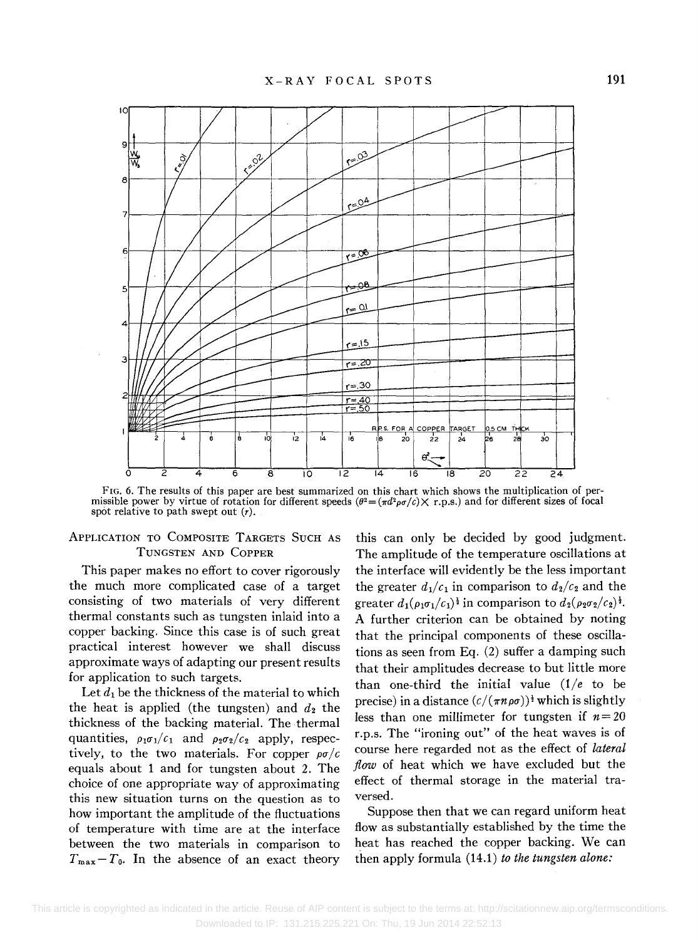

FIG. 6. The results of this paper are best summarized on this chart which shows the multiplication of permissible power by virtue of rotation for different speeds  $(\theta^2 = (\pi d^2 p \sigma/c) \times r.p.s.)$  and for different sizes of focal spot relative to path swept out  $(r)$ .

# ApPLICATION TO COMPOSITE TARGETS SUCH AS TUNGSTEN AND COPPER

This paper makes no effort to cover rigorously the much more complicated case of a target consisting of two materials of very different thermal constants such as tungsten inlaid into a copper backing. Since this case is of such great practical interest however we shall discuss approximate ways of adapting our present results for application to such targets.

Let  $d_1$  be the thickness of the material to which the heat is applied (the tungsten) and  $d_2$  the thickness of the backing material. The thermal quantities,  $\rho_1 \sigma_1/c_1$  and  $\rho_2 \sigma_2/c_2$  apply, respectively, to the two materials. For copper  $\rho\sigma/c$ equals about 1 and for tungsten about 2. The choice of one appropriate way of approximating this new situation turns on the question as to how important the amplitude of the fluctuations of temperature with time are at the interface between the two materials in comparison to  $T_{\text{max}} - T_0$ . In the absence of an exact theory

this can only be decided by good judgment. The amplitude of the temperature oscillations at the interface will evidently be the less important the greater  $d_1/c_1$  in comparison to  $d_2/c_2$  and the greater  $d_1(\rho_1\sigma_1/c_1)^{\frac{1}{2}}$  in comparison to  $d_2(\rho_2\sigma_2/c_2)^{\frac{1}{2}}$ . A further criterion can be obtained by noting that the principal components of these oscillations as seen from Eq. (2) suffer a damping such that their amplitudes decrease to but little more than one-third the initial value  $(1/e)$  to be precise) in a distance  $(c/(\pi n \rho \sigma))^{\frac{1}{2}}$  which is slightly less than one millimeter for tungsten if  $n = 20$ r.p.s. The "ironing out" of the heat waves is of course here regarded not as the effect of *lateral flow* of heat which we have excluded but the effect of thermal storage in the material traversed.

Suppose then that we can regard uniform heat flow as substantially established by the time the heat has reached the copper backing. We can then apply formula (14.1) *to the tungsten alone:*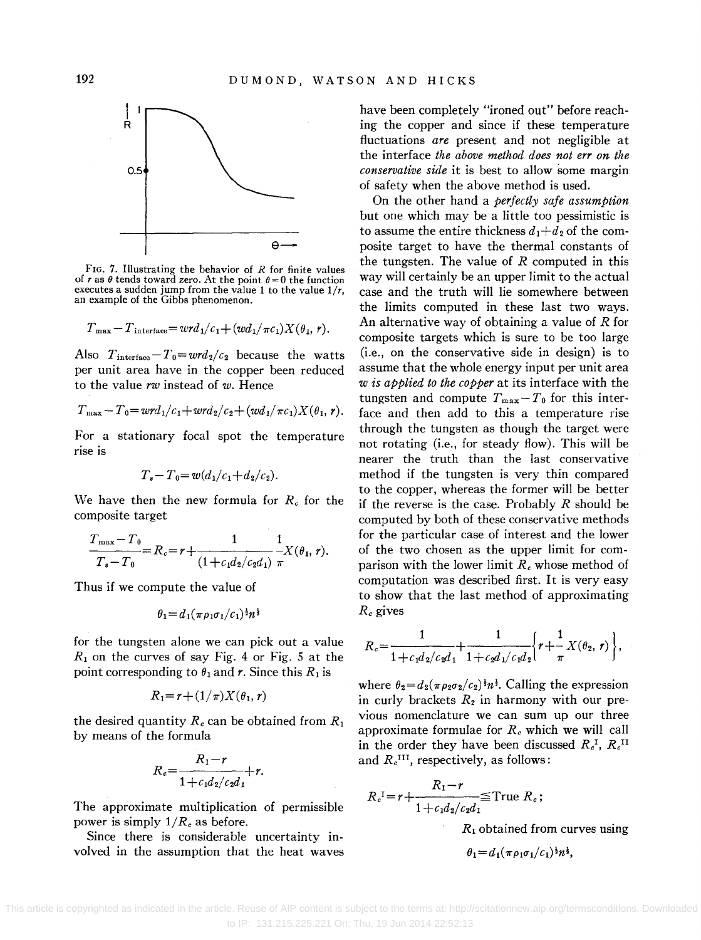

FIG. 7. Illustrating the behavior of  $R$  for finite values of *r* as  $\theta$  tends toward zero. At the point  $\theta = 0$  the function executes a sudden jump from the value 1 to the value *l/r,* an example of the Gibbs phenomenon.

$$
T_{\text{max}} - T_{\text{interface}} = w r d_1 / c_1 + (w d_1 / \pi c_1) X(\theta_1, r).
$$

Also  $T_{\text{interface}} - T_0 = w r d_2/c_2$  because the watts per unit area have in the copper been reduced to the value rw instead of w. Hence

$$
T_{\max}-T_0=wrd_1/c_1+wrd_2/c_2+(wd_1/\pi c_1)X(\theta_1, r).
$$

For a stationary focal spot the temperature rise is

$$
T_s - T_0 = w(d_1/c_1 + d_2/c_2).
$$

We have then the new formula for  $R_c$  for the composite target

$$
\frac{T_{\max} - T_0}{T_s - T_0} = R_c = r + \frac{1}{(1 + c_1 d_2 / c_2 d_1)} \frac{1}{\pi} X(\theta_1, r).
$$

Thus if we compute the value of

$$
\theta_1 = d_1(\pi \rho_1 \sigma_1/c_1)^{\frac{1}{2}} n^{\frac{1}{2}}
$$

for the tungsten alone we can pick out a value  $R_1$  on the curves of say Fig. 4 or Fig. 5 at the point corresponding to  $\theta_1$  and r. Since this  $R_1$  is

$$
R_1 = r + (1/\pi)X(\theta_1, r)
$$

the desired quantity  $R_c$  can be obtained from  $R_1$ by means of the formula

$$
R_c = \frac{R_1 - r}{1 + c_1 d_2 / c_2 d_1} + r.
$$

The approximate multiplication of permissible power is simply *l/Re* as before.

Since there is considerable uncertainty involved in the assumption that the heat waves have been completely "ironed out" before reaching the copper and since if these temperature fluctuations *are* present and not negligible at the interface *the above method does not err on the conservative side* it is best to allow some margin of safety when the above method is used.

On the other hand a *perfectly safe assumption*  but one which may be a little too pessimistic is to assume the entire thickness  $d_1+d_2$  of the composite target to have the thermal constants of the tungsten. The value of  $R$  computed in this way will certainly be an upper limit to the actual case and the truth will lie somewhere between the limits computed in these last two ways. An alternative way of obtaining a value of *R* for composite targets which is sure to be too large (i.e., on the conservative side in design) is to assume that the whole energy input per unit area w is *applied to the copper* at its interface with the tungsten and compute  $T_{\text{max}}-T_0$  for this interface and then add to this a temperature rise through the tungsten as though the target were not rotating (i.e., for steady flow). This will be nearer the truth than the last conservative method if the tungsten is very thin compared to the copper, whereas the former will be better if the reverse is the case. Probably *R* should be computed by both of these conservative methods for the particular case of interest and the lower of the two chosen as the upper limit for comparison with the lower limit  $R_c$  whose method of computation was described first. It is very easy to show that the last method of approximating *Rc* gives

$$
R_c = \frac{1}{1 + c_1 d_2/c_2 d_1} + \frac{1}{1 + c_2 d_1/c_1 d_2} \left\{ r + \frac{1}{\pi} X(\theta_2, r) \right\},
$$

where  $\theta_2 = d_2(\pi \rho_2 \sigma_2/c_2)^{\frac{1}{2}} n^{\frac{1}{2}}$ . Calling the expression in curly brackets  $R_2$  in harmony with our previous nomenclature we can sum up our three approximate formulae for *Rc* which we will call in the order they have been discussed  $R_c^I$ ,  $R_c^I$ and  $R<sub>e</sub><sup>III</sup>$ , respectively, as follows:

$$
R_c^{\ \ I} = r + \frac{R_1 - r}{1 + c_1 d_2 / c_2 d_1} \leq \text{True } R_c \, ;
$$

 $R_1$  obtained from curves using

$$
\theta_1 = d_1(\pi \rho_1 \sigma_1/c_1)^{\frac{1}{2}} n^{\frac{1}{2}},
$$